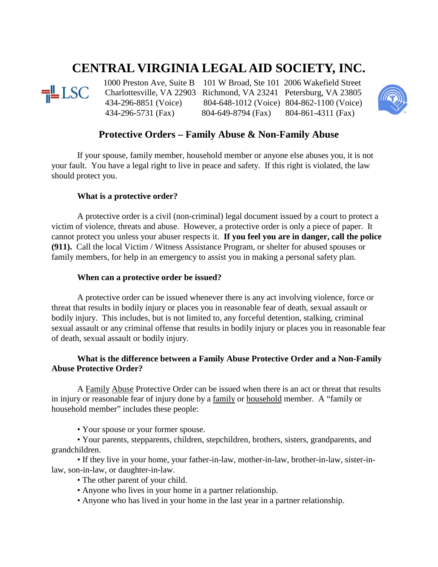# **CENTRAL VIRGINIA LEGAL AID SOCIETY, INC.**



1000 Preston Ave, Suite B 101 W Broad, Ste 101 2006 Wakefield Street<br>
LSC Charlottesville, VA 22903 Richmond, VA 23241 Petersburg, VA 23805 Charlottesville, VA 22903 Richmond, VA 23241 Petersburg, VA 23805 434-296-8851 (Voice) 804-648-1012 (Voice) 804-862-1100 (Voice) 434-296-5731 (Fax) 804-649-8794 (Fax) 804-861-4311 (Fax)



# **Protective Orders – Family Abuse & Non-Family Abuse**

If your spouse, family member, household member or anyone else abuses you, it is not your fault. You have a legal right to live in peace and safety. If this right is violated, the law should protect you.

## **What is a protective order?**

A protective order is a civil (non-criminal) legal document issued by a court to protect a victim of violence, threats and abuse. However, a protective order is only a piece of paper. It cannot protect you unless your abuser respects it. **If you feel you are in danger, call the police (911).** Call the local Victim / Witness Assistance Program, or shelter for abused spouses or family members, for help in an emergency to assist you in making a personal safety plan.

#### **When can a protective order be issued?**

A protective order can be issued whenever there is any act involving violence, force or threat that results in bodily injury or places you in reasonable fear of death, sexual assault or bodily injury. This includes, but is not limited to, any forceful detention, stalking, criminal sexual assault or any criminal offense that results in bodily injury or places you in reasonable fear of death, sexual assault or bodily injury.

# **What is the difference between a Family Abuse Protective Order and a Non-Family Abuse Protective Order?**

A Family Abuse Protective Order can be issued when there is an act or threat that results in injury or reasonable fear of injury done by a family or household member. A "family or household member" includes these people:

• Your spouse or your former spouse.

• Your parents, stepparents, children, stepchildren, brothers, sisters, grandparents, and grandchildren.

• If they live in your home, your father-in-law, mother-in-law, brother-in-law, sister-inlaw, son-in-law, or daughter-in-law.

- The other parent of your child.
- Anyone who lives in your home in a partner relationship.
- Anyone who has lived in your home in the last year in a partner relationship.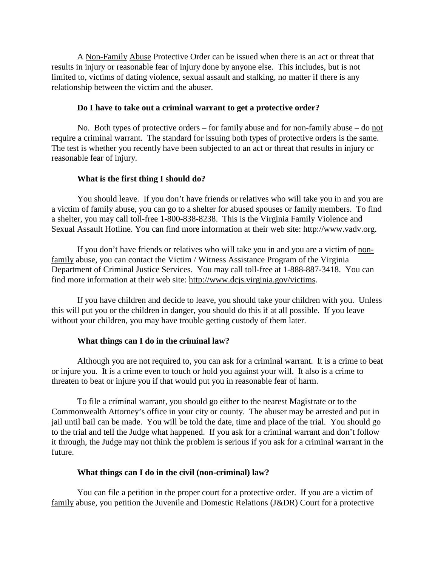A Non-Family Abuse Protective Order can be issued when there is an act or threat that results in injury or reasonable fear of injury done by anyone else. This includes, but is not limited to, victims of dating violence, sexual assault and stalking, no matter if there is any relationship between the victim and the abuser.

#### **Do I have to take out a criminal warrant to get a protective order?**

No. Both types of protective orders – for family abuse and for non-family abuse – do not require a criminal warrant. The standard for issuing both types of protective orders is the same. The test is whether you recently have been subjected to an act or threat that results in injury or reasonable fear of injury.

## **What is the first thing I should do?**

You should leave. If you don't have friends or relatives who will take you in and you are a victim of family abuse, you can go to a shelter for abused spouses or family members. To find a shelter, you may call toll-free 1-800-838-8238. This is the Virginia Family Violence and Sexual Assault Hotline. You can find more information at their web site: [http://www.vadv.org.](http://www.vadv.org/)

If you don't have friends or relatives who will take you in and you are a victim of nonfamily abuse, you can contact the Victim / Witness Assistance Program of the Virginia Department of Criminal Justice Services. You may call toll-free at 1-888-887-3418. You can find more information at their web site: [http://www.dcjs.virginia.gov/victims.](http://www.dcjs.virginia.gov/victims)

If you have children and decide to leave, you should take your children with you. Unless this will put you or the children in danger, you should do this if at all possible. If you leave without your children, you may have trouble getting custody of them later.

## **What things can I do in the criminal law?**

Although you are not required to, you can ask for a criminal warrant. It is a crime to beat or injure you. It is a crime even to touch or hold you against your will. It also is a crime to threaten to beat or injure you if that would put you in reasonable fear of harm.

To file a criminal warrant, you should go either to the nearest Magistrate or to the Commonwealth Attorney's office in your city or county. The abuser may be arrested and put in jail until bail can be made. You will be told the date, time and place of the trial. You should go to the trial and tell the Judge what happened. If you ask for a criminal warrant and don't follow it through, the Judge may not think the problem is serious if you ask for a criminal warrant in the future.

## **What things can I do in the civil (non-criminal) law?**

You can file a petition in the proper court for a protective order. If you are a victim of family abuse, you petition the Juvenile and Domestic Relations (J&DR) Court for a protective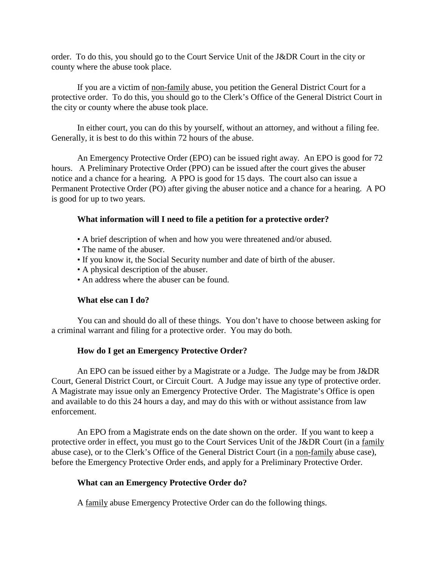order. To do this, you should go to the Court Service Unit of the J&DR Court in the city or county where the abuse took place.

If you are a victim of non-family abuse, you petition the General District Court for a protective order. To do this, you should go to the Clerk's Office of the General District Court in the city or county where the abuse took place.

In either court, you can do this by yourself, without an attorney, and without a filing fee. Generally, it is best to do this within 72 hours of the abuse.

An Emergency Protective Order (EPO) can be issued right away. An EPO is good for 72 hours. A Preliminary Protective Order (PPO) can be issued after the court gives the abuser notice and a chance for a hearing. A PPO is good for 15 days. The court also can issue a Permanent Protective Order (PO) after giving the abuser notice and a chance for a hearing. A PO is good for up to two years.

# **What information will I need to file a petition for a protective order?**

- A brief description of when and how you were threatened and/or abused.
- The name of the abuser.
- If you know it, the Social Security number and date of birth of the abuser.
- A physical description of the abuser.
- An address where the abuser can be found.

# **What else can I do?**

You can and should do all of these things. You don't have to choose between asking for a criminal warrant and filing for a protective order. You may do both.

# **How do I get an Emergency Protective Order?**

An EPO can be issued either by a Magistrate or a Judge. The Judge may be from J&DR Court, General District Court, or Circuit Court. A Judge may issue any type of protective order. A Magistrate may issue only an Emergency Protective Order. The Magistrate's Office is open and available to do this 24 hours a day, and may do this with or without assistance from law enforcement.

An EPO from a Magistrate ends on the date shown on the order. If you want to keep a protective order in effect, you must go to the Court Services Unit of the J&DR Court (in a family abuse case), or to the Clerk's Office of the General District Court (in a non-family abuse case), before the Emergency Protective Order ends, and apply for a Preliminary Protective Order.

# **What can an Emergency Protective Order do?**

A family abuse Emergency Protective Order can do the following things.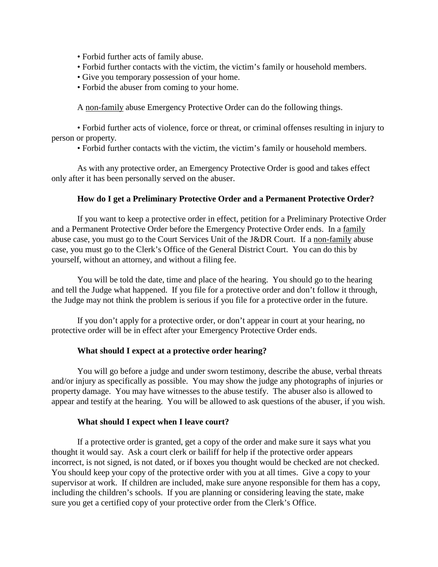- Forbid further acts of family abuse.
- Forbid further contacts with the victim, the victim's family or household members.
- Give you temporary possession of your home.
- Forbid the abuser from coming to your home.

A non-family abuse Emergency Protective Order can do the following things.

• Forbid further acts of violence, force or threat, or criminal offenses resulting in injury to person or property.

• Forbid further contacts with the victim, the victim's family or household members.

As with any protective order, an Emergency Protective Order is good and takes effect only after it has been personally served on the abuser.

#### **How do I get a Preliminary Protective Order and a Permanent Protective Order?**

If you want to keep a protective order in effect, petition for a Preliminary Protective Order and a Permanent Protective Order before the Emergency Protective Order ends. In a family abuse case, you must go to the Court Services Unit of the J&DR Court. If a non-family abuse case, you must go to the Clerk's Office of the General District Court. You can do this by yourself, without an attorney, and without a filing fee.

You will be told the date, time and place of the hearing. You should go to the hearing and tell the Judge what happened. If you file for a protective order and don't follow it through, the Judge may not think the problem is serious if you file for a protective order in the future.

If you don't apply for a protective order, or don't appear in court at your hearing, no protective order will be in effect after your Emergency Protective Order ends.

#### **What should I expect at a protective order hearing?**

You will go before a judge and under sworn testimony, describe the abuse, verbal threats and/or injury as specifically as possible. You may show the judge any photographs of injuries or property damage. You may have witnesses to the abuse testify. The abuser also is allowed to appear and testify at the hearing. You will be allowed to ask questions of the abuser, if you wish.

#### **What should I expect when I leave court?**

If a protective order is granted, get a copy of the order and make sure it says what you thought it would say. Ask a court clerk or bailiff for help if the protective order appears incorrect, is not signed, is not dated, or if boxes you thought would be checked are not checked. You should keep your copy of the protective order with you at all times. Give a copy to your supervisor at work. If children are included, make sure anyone responsible for them has a copy, including the children's schools. If you are planning or considering leaving the state, make sure you get a certified copy of your protective order from the Clerk's Office.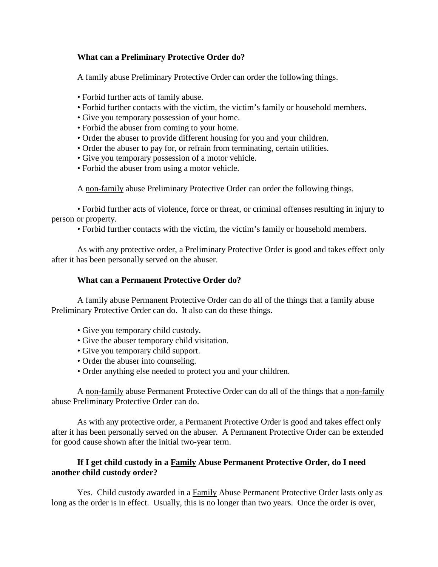# **What can a Preliminary Protective Order do?**

A family abuse Preliminary Protective Order can order the following things.

- Forbid further acts of family abuse.
- Forbid further contacts with the victim, the victim's family or household members.
- Give you temporary possession of your home.
- Forbid the abuser from coming to your home.
- Order the abuser to provide different housing for you and your children.
- Order the abuser to pay for, or refrain from terminating, certain utilities.
- Give you temporary possession of a motor vehicle.
- Forbid the abuser from using a motor vehicle.

A non-family abuse Preliminary Protective Order can order the following things.

• Forbid further acts of violence, force or threat, or criminal offenses resulting in injury to person or property.

• Forbid further contacts with the victim, the victim's family or household members.

As with any protective order, a Preliminary Protective Order is good and takes effect only after it has been personally served on the abuser.

# **What can a Permanent Protective Order do?**

A family abuse Permanent Protective Order can do all of the things that a family abuse Preliminary Protective Order can do. It also can do these things.

- Give you temporary child custody.
- Give the abuser temporary child visitation.
- Give you temporary child support.
- Order the abuser into counseling.
- Order anything else needed to protect you and your children.

A non-family abuse Permanent Protective Order can do all of the things that a non-family abuse Preliminary Protective Order can do.

As with any protective order, a Permanent Protective Order is good and takes effect only after it has been personally served on the abuser. A Permanent Protective Order can be extended for good cause shown after the initial two-year term.

# **If I get child custody in a Family Abuse Permanent Protective Order, do I need another child custody order?**

Yes. Child custody awarded in a Family Abuse Permanent Protective Order lasts only as long as the order is in effect. Usually, this is no longer than two years. Once the order is over,